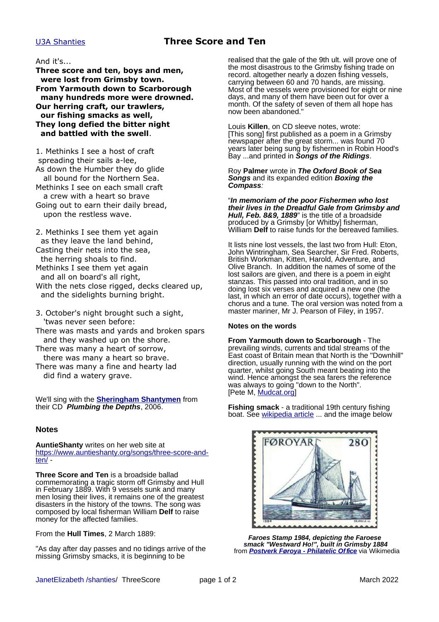## [U3A Shanties](http://www.janetelizabeth.org.uk/shanties/u3ashantieslink.html) **Three Score and Ten**

### And it's...

**Three score and ten, boys and men, were lost from Grimsby town. From Yarmouth down to Scarborough many hundreds more were drowned. Our herring craft, our trawlers, our fishing smacks as well, They long defied the bitter night and battled with the swell**.

1. Methinks I see a host of craft spreading their sails a-lee, As down the Humber they do glide all bound for the Northern Sea. Methinks I see on each small craft a crew with a heart so brave Going out to earn their daily bread, upon the restless wave.

2. Methinks I see them yet again as they leave the land behind, Casting their nets into the sea, the herring shoals to find. Methinks I see them yet again and all on board's all right, With the nets close rigged, decks cleared up, and the sidelights burning bright.

- 3. October's night brought such a sight, 'twas never seen before:
- There was masts and yards and broken spars and they washed up on the shore.
- There was many a heart of sorrow, there was many a heart so brave.
- There was many a fine and hearty lad did find a watery grave.

We'll sing with the **[Sheringham Shantymen](https://www.shantymen.com/)** from their CD **Plumbing the Depths**, 2006.

#### **Notes**

**AuntieShanty** writes on her web site at [https://www.auntieshanty.org/songs/three-score-and](https://www.auntieshanty.org/songs/three-score-and-ten/) $ten/-$ 

**Three Score and Ten** is a broadside ballad commemorating a tragic storm off Grimsby and Hull in February 1889. With 9 vessels sunk and many men losing their lives, it remains one of the greatest disasters in the history of the towns. The song was composed by local fisherman William **Delf** to raise money for the affected families.

From the **Hull Times**, 2 March 1889:

"As day after day passes and no tidings arrive of the missing Grimsby smacks, it is beginning to be

realised that the gale of the 9th ult. will prove one of the most disastrous to the Grimsby fishing trade on record. altogether nearly a dozen fishing vessels, carrying between 60 and 70 hands, are missing. Most of the vessels were provisioned for eight or nine days, and many of them have been out for over a month. Of the safety of seven of them all hope has now been abandoned."

Louis **Killen**, on CD sleeve notes, wrote: [This song] first published as a poem in a Grimsby newspaper after the great storm... was found 70 years later being sung by fishermen in Robin Hood's Bay ...and printed in **Songs of the Ridings**.

Roy **Palmer** wrote in **The Oxford Book of Sea Songs** and its expanded edition **Boxing the Compass**:

"**In memoriam of the poor Fishermen who lost their lives in the Dreadful Gale from Grimsby and Hull, Feb. 8&9, 1889**" is the title of a broadside produced by a Grimsby [or Whitby] fisherman, William **Delf** to raise funds for the bereaved families.

It lists nine lost vessels, the last two from Hull: Eton, John Wintringham, Sea Searcher, Sir Fred. Roberts, British Workman, Kitten, Harold, Adventure, and Olive Branch. In addition the names of some of the lost sailors are given, and there is a poem in eight stanzas. This passed into oral tradition, and in so doing lost six verses and acquired a new one (the last, in which an error of date occurs), together with a chorus and a tune. The oral version was noted from a master mariner, Mr J. Pearson of Filey, in 1957.

#### **Notes on the words**

**From Yarmouth down to Scarborough** - The prevailing winds, currents and tidal streams of the East coast of Britain mean that North is the "Downhill" direction, usually running with the wind on the port quarter, whilst going South meant beating into the wind. Hence amongst the sea farers the reference was always to going "down to the North". [Pete M, [Mudcat.org\]](https://mudcat.org/thread.cfm?threadid=2888#13440)

**Fishing smack** - a traditional 19th century fishing boat. See [wikipedia article](https://en.wikipedia.org/wiki/Smack_(ship)) ... and the image below



**Faroes Stamp 1984, depicting the Faroese smack "Westward Ho!", built in Grimsby 1884** from **[Postverk Føroya - Philatelic Office](http://www.stamps.fo/)** via Wikimedia